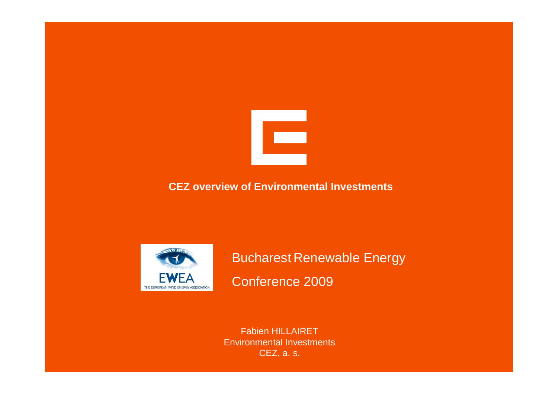

# **CEZ overview of Environmental Investments**



Bucharest Renewable Energy Conference 2009

Fabien HILLAIRET Environmental Investments CEZ, a. s.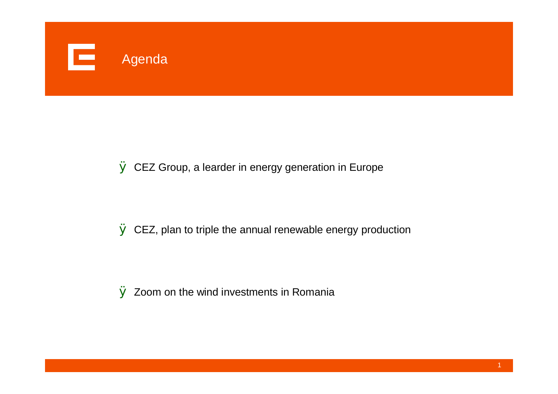

# $\emptyset$  CEZ Group, a learder in energy generation in Europe

 $\emptyset$  CEZ, plan to triple the annual renewable energy production

 $\emptyset$  Zoom on the wind investments in Romania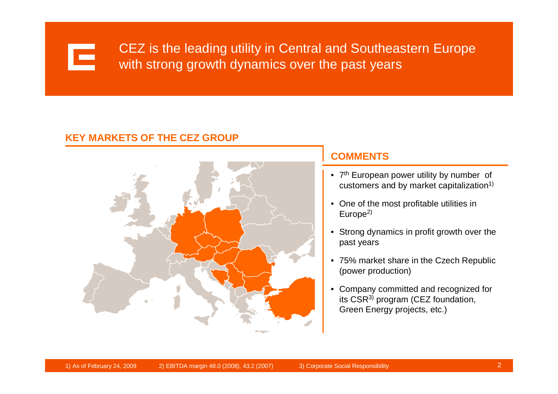

CEZ is the leading utility in Central and Southeastern Europe with strong growth dynamics over the past years

#### **KEY MARKETS OF THE CEZ GROUP**



### **COMMENTS**

- 7<sup>th</sup> European power utility by number of customers and by market capitalization $1$ )
- One of the most profitable utilities in  $Europe<sup>2</sup>$
- Strong dynamics in profit growth over the past years
- 75% market share in the Czech Republic (power production)
- Company committed and recognized for its CSR3) program (CEZ foundation, Green Energy projects, etc.)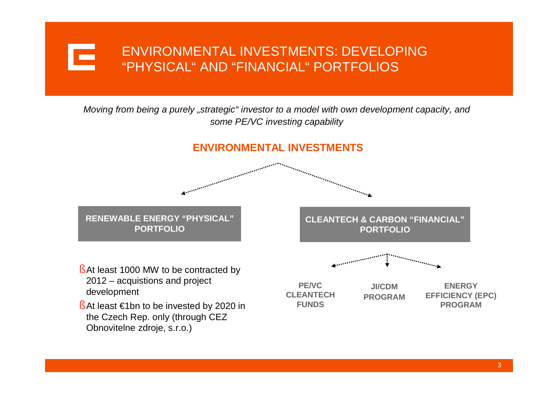# ENVIRONMENTAL INVESTMENTS: DEVELOPING E "PHYSICAL" AND "FINANCIAL" PORTFOLIOS

#### *Moving from being a purely "strategic" investor to a model with own development capacity, and some PE/VC investing capability*

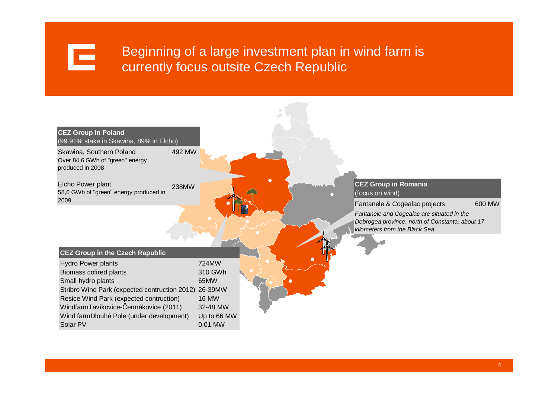

# Beginning of a large investment plan in wind farm is currently focus outsite Czech Republic

| <b>CEZ Group in Poland</b><br>(99.91% stake in Skawina, 89% in Elcho)                     |              |                                                                                                                                |        |
|-------------------------------------------------------------------------------------------|--------------|--------------------------------------------------------------------------------------------------------------------------------|--------|
| Skawina, Southern Poland<br>492 MW<br>Over 84,6 GWh of "green" energy<br>produced in 2008 |              |                                                                                                                                |        |
| Elcho Power plant<br>238MW<br>58,6 GWh of "green" energy produced in                      |              | <b>CEZ Group in Romania</b><br>(focus on wind)                                                                                 |        |
| 2009                                                                                      |              | Fantanele & Cogealac projects                                                                                                  | 600 MW |
|                                                                                           |              | Fantanele and Cogealac are situated in the<br>Dobrogea province, north of Constanta, about 17<br>kilometers from the Black Sea |        |
|                                                                                           |              |                                                                                                                                |        |
| <b>CEZ Group in the Czech Republic</b>                                                    |              |                                                                                                                                |        |
| Hydro Power plants                                                                        | 724MW        |                                                                                                                                |        |
| Biomass cofired plants                                                                    | 310 GWh      |                                                                                                                                |        |
| Small hydro plants                                                                        | 65MW         |                                                                                                                                |        |
| Stribro Wind Park (expected contruction 2012)                                             | 26-39MW      |                                                                                                                                |        |
| Resice Wind Park (expected contruction)                                                   | <b>16 MW</b> |                                                                                                                                |        |
| WindfarmTavíkovice-Čermákovice (2011)                                                     | 32-48 MW     |                                                                                                                                |        |
| Wind farmDlouhé Pole (under development)                                                  | Up to 66 MW  |                                                                                                                                |        |
| Solar PV                                                                                  | 0,01 MW      |                                                                                                                                |        |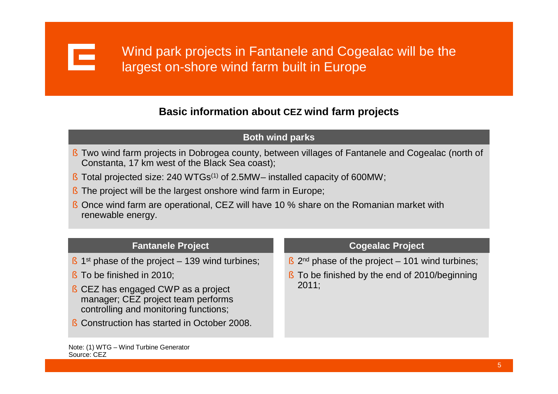

# **Basic information about CEZ wind farm projects**

#### **Both wind parks**

- § Two wind farm projects in Dobrogea county, between villages of Fantanele and Cogealac (north of Constanta, 17 km west of the Black Sea coast);
- § Total projected size: 240 WTGs(1) of 2.5MW–installed capacity of 600MW;
- § The project will be the largest onshore wind farm in Europe;
- § Once wind farm are operational, CEZ will have 10 % share on the Romanian market with renewable energy.

#### **Fantanele Project**

- $§$  1<sup>st</sup> phase of the project 139 wind turbines;
- § To be finished in 2010;
- § CEZ has engaged CWP as a project manager; CEZ project team performs controlling and monitoring functions;
- § Construction has started in October 2008.

#### **Cogealac Project**

- $\frac{1}{2}$  2<sup>nd</sup> phase of the project 101 wind turbines;
- § To be finished by the end of 2010/beginning 2011;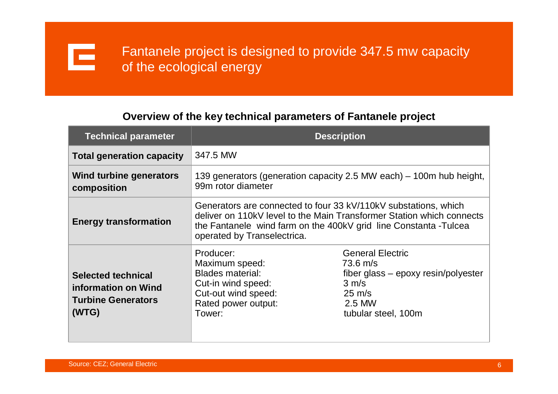

# **Overview of the key technical parameters of Fantanele project**

| <b>Technical parameter</b>                                                             | <b>Description</b>                                                                                                                                                                                                                           |                                                                                                                                                             |  |  |
|----------------------------------------------------------------------------------------|----------------------------------------------------------------------------------------------------------------------------------------------------------------------------------------------------------------------------------------------|-------------------------------------------------------------------------------------------------------------------------------------------------------------|--|--|
| <b>Total generation capacity</b>                                                       | 347.5 MW                                                                                                                                                                                                                                     |                                                                                                                                                             |  |  |
| Wind turbine generators<br>composition                                                 | 139 generators (generation capacity 2.5 MW each) – 100m hub height,<br>99m rotor diameter                                                                                                                                                    |                                                                                                                                                             |  |  |
| <b>Energy transformation</b>                                                           | Generators are connected to four 33 kV/110kV substations, which<br>deliver on 110kV level to the Main Transformer Station which connects<br>the Fantanele wind farm on the 400kV grid line Constanta - Tulcea<br>operated by Transelectrica. |                                                                                                                                                             |  |  |
| <b>Selected technical</b><br>information on Wind<br><b>Turbine Generators</b><br>(WTG) | Producer:<br>Maximum speed:<br><b>Blades material:</b><br>Cut-in wind speed:<br>Cut-out wind speed:<br>Rated power output:<br>Tower:                                                                                                         | <b>General Electric</b><br>$73.6 \; m/s$<br>$fiber$ glass – epoxy resin/polyester<br>$3 \, \text{m/s}$<br>$25 \text{ m/s}$<br>2.5 MW<br>tubular steel, 100m |  |  |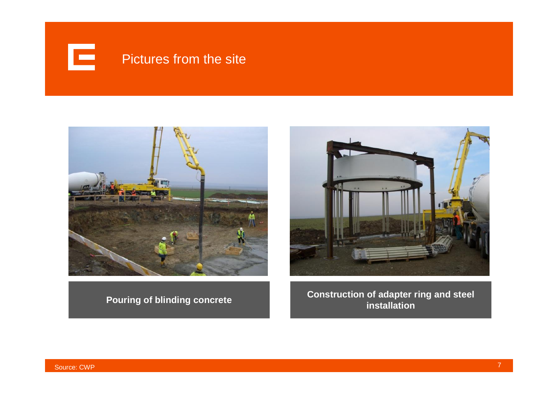





**Pouring of blinding concrete Construction of adapter ring and steel installation**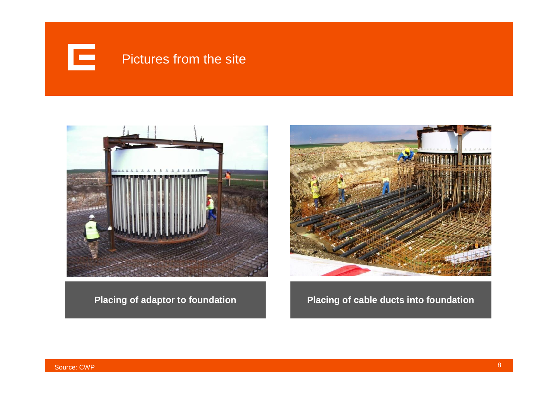





**Placing of adaptor to foundation Placing of cable ducts into foundation**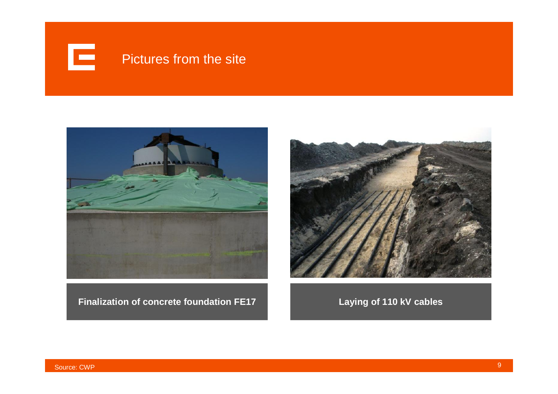



**Finalization of concrete foundation FE17 Laying of 110 kV cables**

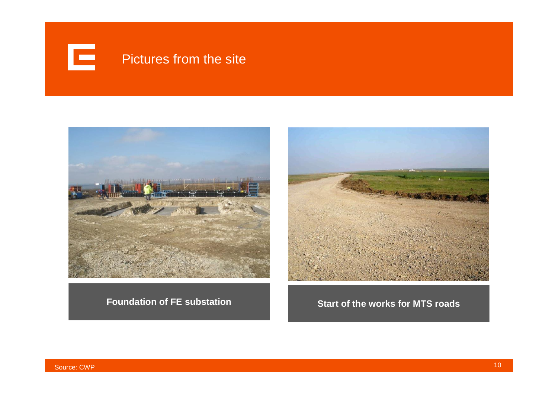



**Foundation of FE substation**



**Start of the works for MTS roads**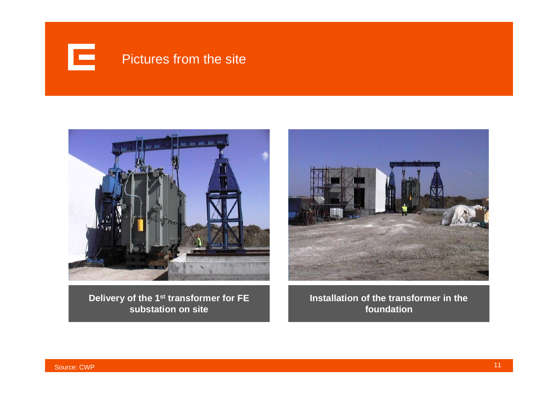



**Delivery of the 1st transformer for FE substation on site**



**Installation of the transformer in the foundation**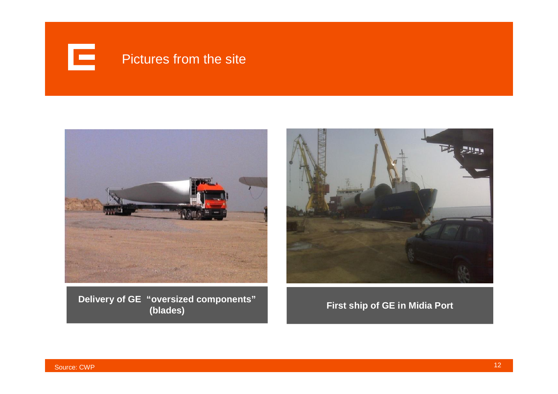



**Delivery of GE "oversized components"**



**(blades) First ship of GE in Midia Port**